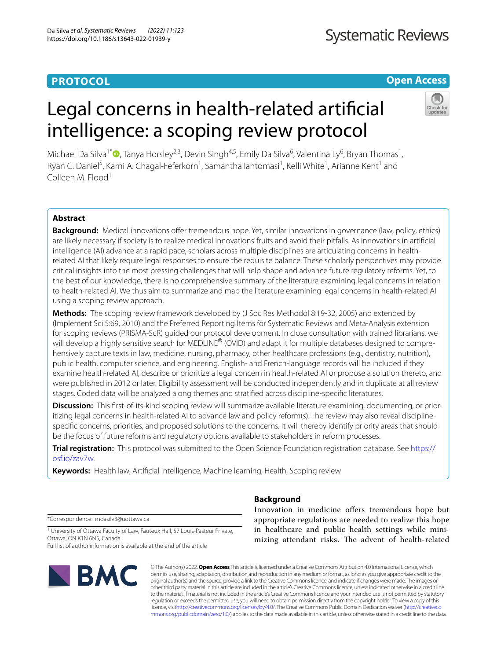# **PROTOCOL**

**Systematic Reviews** 

# **Open Access**

# Legal concerns in health-related artifcial intelligence: a scoping review protocol



Michael Da Silva<sup>1[\\*](http://orcid.org/0000-0002-7021-9847)</sup>®, Tanya Horsley<sup>2,3</sup>, Devin Singh<sup>4,5</sup>, Emily Da Silva<sup>6</sup>, Valentina Ly<sup>6</sup>, Bryan Thomas<sup>1</sup>, Ryan C. Daniel<sup>5</sup>, Karni A. Chagal-Feferkorn<sup>1</sup>, Samantha lantomasi<sup>1</sup>, Kelli White<sup>1</sup>, Arianne Kent<sup>1</sup> and Colleen M. Flood<sup>1</sup>

# **Abstract**

**Background:** Medical innovations offer tremendous hope. Yet, similar innovations in governance (law, policy, ethics) are likely necessary if society is to realize medical innovations' fruits and avoid their pitfalls. As innovations in artifcial intelligence (AI) advance at a rapid pace, scholars across multiple disciplines are articulating concerns in healthrelated AI that likely require legal responses to ensure the requisite balance. These scholarly perspectives may provide critical insights into the most pressing challenges that will help shape and advance future regulatory reforms. Yet, to the best of our knowledge, there is no comprehensive summary of the literature examining legal concerns in relation to health-related AI. We thus aim to summarize and map the literature examining legal concerns in health-related AI using a scoping review approach.

**Methods:** The scoping review framework developed by (J Soc Res Methodol 8:19-32, 2005) and extended by (Implement Sci 5:69, 2010) and the Preferred Reporting Items for Systematic Reviews and Meta-Analysis extension for scoping reviews (PRISMA-ScR) guided our protocol development. In close consultation with trained librarians, we will develop a highly sensitive search for MEDLINE® (OVID) and adapt it for multiple databases designed to comprehensively capture texts in law, medicine, nursing, pharmacy, other healthcare professions (e.g., dentistry, nutrition), public health, computer science, and engineering. English- and French-language records will be included if they examine health-related AI, describe or prioritize a legal concern in health-related AI or propose a solution thereto, and were published in 2012 or later. Eligibility assessment will be conducted independently and in duplicate at all review stages. Coded data will be analyzed along themes and stratifed across discipline-specifc literatures.

**Discussion:** This first-of-its-kind scoping review will summarize available literature examining, documenting, or prioritizing legal concerns in health-related AI to advance law and policy reform(s). The review may also reveal disciplinespecifc concerns, priorities, and proposed solutions to the concerns. It will thereby identify priority areas that should be the focus of future reforms and regulatory options available to stakeholders in reform processes.

**Trial registration:** This protocol was submitted to the Open Science Foundation registration database. See [https://](https://osf.io/zav7w) [osf.io/zav7w.](https://osf.io/zav7w)

**Keywords:** Health law, Artifcial intelligence, Machine learning, Health, Scoping review

\*Correspondence: mdasilv3@uottawa.ca

<sup>1</sup> University of Ottawa Faculty of Law, Fauteux Hall, 57 Louis-Pasteur Private, Ottawa, ON K1N 6N5, Canada

Full list of author information is available at the end of the article



### **Background**

Innovation in medicine offers tremendous hope but appropriate regulations are needed to realize this hope in healthcare and public health settings while minimizing attendant risks. The advent of health-related

© The Author(s) 2022. **Open Access** This article is licensed under a Creative Commons Attribution 4.0 International License, which permits use, sharing, adaptation, distribution and reproduction in any medium or format, as long as you give appropriate credit to the original author(s) and the source, provide a link to the Creative Commons licence, and indicate if changes were made. The images or other third party material in this article are included in the article's Creative Commons licence, unless indicated otherwise in a credit line to the material. If material is not included in the article's Creative Commons licence and your intended use is not permitted by statutory regulation or exceeds the permitted use, you will need to obtain permission directly from the copyright holder. To view a copy of this licence, visi[thttp://creativecommons.org/licenses/by/4.0/](http://creativecommons.org/licenses/by/4.0/). The Creative Commons Public Domain Dedication waiver [\(http://creativeco](http://creativecommons.org/publicdomain/zero/1.0/) [mmons.org/publicdomain/zero/1.0/](http://creativecommons.org/publicdomain/zero/1.0/)) applies to the data made available in this article, unless otherwise stated in a credit line to the data.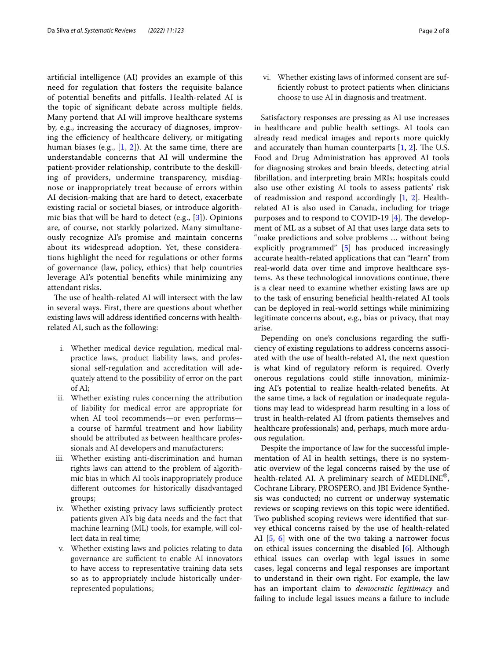artifcial intelligence (AI) provides an example of this need for regulation that fosters the requisite balance of potential benefts and pitfalls. Health-related AI is the topic of signifcant debate across multiple felds. Many portend that AI will improve healthcare systems by, e.g., increasing the accuracy of diagnoses, improving the efficiency of healthcare delivery, or mitigating human biases (e.g.,  $[1, 2]$  $[1, 2]$  $[1, 2]$  $[1, 2]$  $[1, 2]$ ). At the same time, there are understandable concerns that AI will undermine the patient-provider relationship, contribute to the deskilling of providers, undermine transparency, misdiagnose or inappropriately treat because of errors within AI decision-making that are hard to detect, exacerbate existing racial or societal biases, or introduce algorithmic bias that will be hard to detect (e.g., [\[3](#page-7-2)]). Opinions are, of course, not starkly polarized. Many simultaneously recognize AI's promise and maintain concerns about its widespread adoption. Yet, these considerations highlight the need for regulations or other forms of governance (law, policy, ethics) that help countries leverage AI's potential benefts while minimizing any attendant risks.

The use of health-related AI will intersect with the law in several ways. First, there are questions about whether existing laws will address identifed concerns with healthrelated AI, such as the following:

- i. Whether medical device regulation, medical malpractice laws, product liability laws, and professional self-regulation and accreditation will adequately attend to the possibility of error on the part of AI;
- ii. Whether existing rules concerning the attribution of liability for medical error are appropriate for when AI tool recommends—or even performs a course of harmful treatment and how liability should be attributed as between healthcare professionals and AI developers and manufacturers;
- iii. Whether existing anti-discrimination and human rights laws can attend to the problem of algorithmic bias in which AI tools inappropriately produce diferent outcomes for historically disadvantaged groups;
- iv. Whether existing privacy laws sufficiently protect patients given AI's big data needs and the fact that machine learning (ML) tools, for example, will collect data in real time;
- v. Whether existing laws and policies relating to data governance are sufficient to enable AI innovators to have access to representative training data sets so as to appropriately include historically underrepresented populations;

vi. Whether existing laws of informed consent are suffciently robust to protect patients when clinicians choose to use AI in diagnosis and treatment.

Satisfactory responses are pressing as AI use increases in healthcare and public health settings. AI tools can already read medical images and reports more quickly and accurately than human counterparts  $[1, 2]$  $[1, 2]$  $[1, 2]$  $[1, 2]$  $[1, 2]$ . The U.S. Food and Drug Administration has approved AI tools for diagnosing strokes and brain bleeds, detecting atrial fbrillation, and interpreting brain MRIs; hospitals could also use other existing AI tools to assess patients' risk of readmission and respond accordingly  $[1, 2]$  $[1, 2]$  $[1, 2]$  $[1, 2]$ . Healthrelated AI is also used in Canada, including for triage purposes and to respond to COVID-19  $[4]$ . The development of ML as a subset of AI that uses large data sets to "make predictions and solve problems … without being explicitly programmed" [[5](#page-7-4)] has produced increasingly accurate health-related applications that can "learn" from real-world data over time and improve healthcare systems. As these technological innovations continue, there is a clear need to examine whether existing laws are up to the task of ensuring benefcial health-related AI tools can be deployed in real-world settings while minimizing legitimate concerns about, e.g., bias or privacy, that may arise.

Depending on one's conclusions regarding the sufficiency of existing regulations to address concerns associated with the use of health-related AI, the next question is what kind of regulatory reform is required. Overly onerous regulations could stife innovation, minimizing AI's potential to realize health-related benefts. At the same time, a lack of regulation or inadequate regulations may lead to widespread harm resulting in a loss of trust in health-related AI (from patients themselves and healthcare professionals) and, perhaps, much more arduous regulation.

Despite the importance of law for the successful implementation of AI in health settings, there is no systematic overview of the legal concerns raised by the use of health-related AI. A preliminary search of MEDLINE®, Cochrane Library, PROSPERO, and JBI Evidence Synthesis was conducted; no current or underway systematic reviews or scoping reviews on this topic were identifed. Two published scoping reviews were identifed that survey ethical concerns raised by the use of health-related AI [\[5](#page-7-4), [6\]](#page-7-5) with one of the two taking a narrower focus on ethical issues concerning the disabled [[6\]](#page-7-5). Although ethical issues can overlap with legal issues in some cases, legal concerns and legal responses are important to understand in their own right. For example, the law has an important claim to *democratic legitimacy* and failing to include legal issues means a failure to include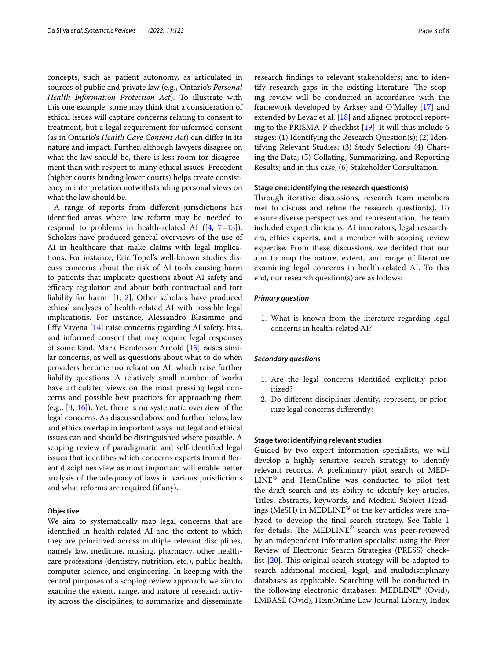concepts, such as patient autonomy, as articulated in sources of public and private law (e.g., Ontario's *Personal Health Information Protection Act*). To illustrate with this one example, some may think that a consideration of ethical issues will capture concerns relating to consent to treatment, but a legal requirement for informed consent (as in Ontario's *Health Care Consent Act*) can difer in its nature and impact. Further, although lawyers disagree on what the law should be, there is less room for disagreement than with respect to many ethical issues. Precedent (higher courts binding lower courts) helps create consistency in interpretation notwithstanding personal views on what the law should be.

A range of reports from diferent jurisdictions has identifed areas where law reform may be needed to respond to problems in health-related AI  $([4, 7-13])$  $([4, 7-13])$  $([4, 7-13])$  $([4, 7-13])$  $([4, 7-13])$ . Scholars have produced general overviews of the use of AI in healthcare that make claims with legal implications. For instance, Eric Topol's well-known studies discuss concerns about the risk of AI tools causing harm to patients that implicate questions about AI safety and efficacy regulation and about both contractual and tort liability for harm  $[1, 2]$  $[1, 2]$  $[1, 2]$  $[1, 2]$  $[1, 2]$ . Other scholars have produced ethical analyses of health-related AI with possible legal implications. For instance, Alessandro Blasimme and Efy Vayena [\[14\]](#page-7-8) raise concerns regarding AI safety, bias, and informed consent that may require legal responses of some kind. Mark Henderson Arnold [[15\]](#page-7-9) raises similar concerns, as well as questions about what to do when providers become too reliant on AI, which raise further liability questions. A relatively small number of works have articulated views on the most pressing legal concerns and possible best practices for approaching them (e.g., [\[3](#page-7-2), [16](#page-7-10)]). Yet, there is no systematic overview of the legal concerns. As discussed above and further below, law and ethics overlap in important ways but legal and ethical issues can and should be distinguished where possible. A scoping review of paradigmatic and self-identifed legal issues that identifes which concerns experts from diferent disciplines view as most important will enable better analysis of the adequacy of laws in various jurisdictions and what reforms are required (if any).

#### **Objective**

We aim to systematically map legal concerns that are identifed in health-related AI and the extent to which they are prioritized across multiple relevant disciplines, namely law, medicine, nursing, pharmacy, other healthcare professions (dentistry, nutrition, etc.), public health, computer science, and engineering. In keeping with the central purposes of a scoping review approach, we aim to examine the extent, range, and nature of research activity across the disciplines; to summarize and disseminate research fndings to relevant stakeholders; and to identify research gaps in the existing literature. The scoping review will be conducted in accordance with the framework developed by Arksey and O'Malley [[17\]](#page-7-11) and extended by Levac et al. [\[18](#page-7-12)] and aligned protocol reporting to the PRISMA-P checklist [[19](#page-7-13)]. It will thus include 6 stages: (1) Identifying the Research Question(s); (2) Identifying Relevant Studies; (3) Study Selection; (4) Charting the Data; (5) Collating, Summarizing, and Reporting Results; and in this case, (6) Stakeholder Consultation.

#### **Stage one: identifying the research question(s)**

Through iterative discussions, research team members met to discuss and refne the research question(s). To ensure diverse perspectives and representation, the team included expert clinicians, AI innovators, legal researchers, ethics experts, and a member with scoping review expertise. From these discussions, we decided that our aim to map the nature, extent, and range of literature examining legal concerns in health-related AI. To this end, our research question(s) are as follows:

#### *Primary question*

1. What is known from the literature regarding legal concerns in health-related AI?

#### *Secondary questions*

- 1. Are the legal concerns identifed explicitly prioritized?
- 2. Do diferent disciplines identify, represent, or prioritize legal concerns diferently?

### **Stage two: identifying relevant studies**

Guided by two expert information specialists, we will develop a highly sensitive search strategy to identify relevant records. A preliminary pilot search of MED-LINE® and HeinOnline was conducted to pilot test the draft search and its ability to identify key articles. Titles, abstracts, keywords, and Medical Subject Headings (MeSH) in MEDLINE® of the key articles were analyzed to develop the fnal search strategy. See Table [1](#page-3-0) for details. The MEDLINE<sup>®</sup> search was peer-reviewed by an independent information specialist using the Peer Review of Electronic Search Strategies (PRESS) checklist  $[20]$  $[20]$  $[20]$ . This original search strategy will be adapted to search additional medical, legal, and multidisciplinary databases as applicable. Searching will be conducted in the following electronic databases: MEDLINE® (Ovid), EMBASE (Ovid), HeinOnline Law Journal Library, Index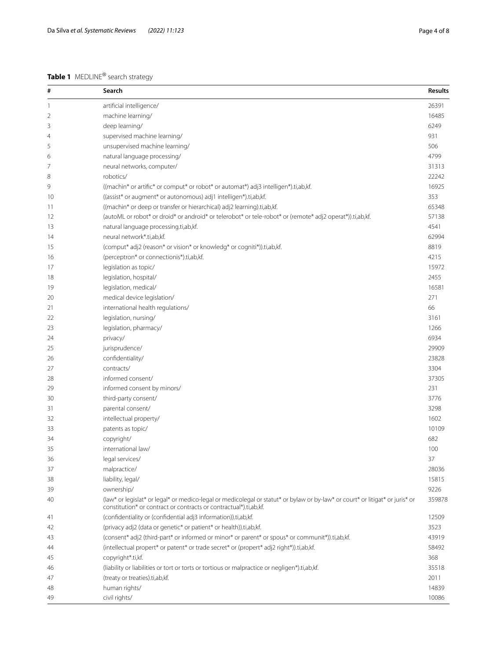# <span id="page-3-0"></span>**Table 1** MEDLINE® search strategy

| #  | Search                                                                                                                                                                                             | <b>Results</b> |
|----|----------------------------------------------------------------------------------------------------------------------------------------------------------------------------------------------------|----------------|
| 1  | artificial intelligence/                                                                                                                                                                           | 26391          |
| 2  | machine learning/                                                                                                                                                                                  | 16485          |
| 3  | deep learning/                                                                                                                                                                                     | 6249           |
| 4  | supervised machine learning/                                                                                                                                                                       | 931            |
| 5  | unsupervised machine learning/                                                                                                                                                                     | 506            |
| 6  | natural language processing/                                                                                                                                                                       | 4799           |
| 7  | neural networks, computer/                                                                                                                                                                         | 31313          |
| 8  | robotics/                                                                                                                                                                                          | 22242          |
| 9  | ((machin* or artific* or comput* or robot* or automat*) adj3 intelligen*).ti,ab,kf.                                                                                                                | 16925          |
| 10 | ((assist* or augment* or autonomous) adj1 intelligen*).ti,ab,kf.                                                                                                                                   | 353            |
| 11 | ((machin* or deep or transfer or hierarchical) adj2 learning).ti,ab,kf.                                                                                                                            | 65348          |
| 12 | (autoML or robot* or droid* or android* or telerobot* or tele-robot* or (remote* adj2 operat*)).ti,ab,kf.                                                                                          | 57138          |
| 13 | natural language processing.ti,ab,kf.                                                                                                                                                              | 4541           |
| 14 | neural network*.ti,ab,kf.                                                                                                                                                                          | 62994          |
| 15 | (comput* adj2 (reason* or vision* or knowledg* or cogniti*)).ti,ab,kf.                                                                                                                             | 8819           |
| 16 | (perceptron* or connectionis*).ti,ab,kf.                                                                                                                                                           | 4215           |
| 17 | legislation as topic/                                                                                                                                                                              | 15972          |
| 18 | legislation, hospital/                                                                                                                                                                             | 2455           |
| 19 | legislation, medical/                                                                                                                                                                              | 16581          |
| 20 | medical device legislation/                                                                                                                                                                        | 271            |
| 21 | international health regulations/                                                                                                                                                                  | 66             |
| 22 | legislation, nursing/                                                                                                                                                                              | 3161           |
| 23 | legislation, pharmacy/                                                                                                                                                                             | 1266           |
| 24 | privacy/                                                                                                                                                                                           | 6934           |
| 25 | jurisprudence/                                                                                                                                                                                     | 29909          |
| 26 | confidentiality/                                                                                                                                                                                   | 23828          |
| 27 | contracts/                                                                                                                                                                                         | 3304           |
| 28 | informed consent/                                                                                                                                                                                  | 37305          |
| 29 | informed consent by minors/                                                                                                                                                                        | 231            |
| 30 | third-party consent/                                                                                                                                                                               | 3776           |
| 31 | parental consent/                                                                                                                                                                                  | 3298           |
| 32 | intellectual property/                                                                                                                                                                             | 1602           |
| 33 | patents as topic/                                                                                                                                                                                  | 10109          |
| 34 | copyright/                                                                                                                                                                                         | 682            |
| 35 | international law/                                                                                                                                                                                 | 100            |
| 36 | legal services/                                                                                                                                                                                    | 37             |
| 37 | malpractice/                                                                                                                                                                                       | 28036          |
| 38 | liability, legal/                                                                                                                                                                                  | 15815          |
| 39 | ownership/                                                                                                                                                                                         | 9226           |
| 40 | (law* or legislat* or legal* or medico-legal or medicolegal or statut* or bylaw or by-law* or court* or litigat* or juris* or<br>constitution* or contract or contracts or contractual*).ti,ab,kf. | 359878         |
| 41 | (confidentiality or (confidential adj3 information)).ti,ab,kf.                                                                                                                                     | 12509          |
| 42 | (privacy adj2 (data or genetic* or patient* or health)).ti,ab,kf.                                                                                                                                  | 3523           |
| 43 | (consent* adj2 (third-part* or informed or minor* or parent* or spous* or communit*)).ti,ab,kf.                                                                                                    | 43919          |
| 44 | (intellectual propert* or patent* or trade secret* or (propert* adj2 right*)).ti,ab,kf.                                                                                                            | 58492          |
| 45 | copyright*.ti,kf.                                                                                                                                                                                  | 368            |
| 46 | (liability or liabilities or tort or torts or tortious or malpractice or negligen*).ti,ab,kf.                                                                                                      | 35518          |
| 47 | (treaty or treaties).ti,ab,kf.                                                                                                                                                                     | 2011           |
| 48 | human rights/                                                                                                                                                                                      | 14839          |
| 49 | civil rights/                                                                                                                                                                                      | 10086          |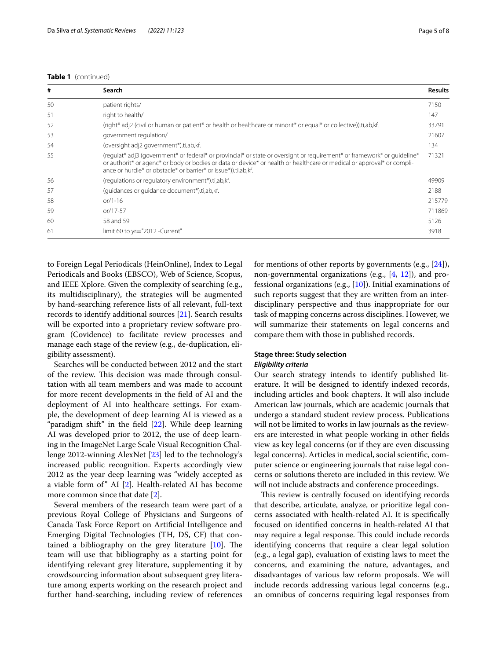| #  | Search                                                                                                                                                                                                                                                                                                               | <b>Results</b> |
|----|----------------------------------------------------------------------------------------------------------------------------------------------------------------------------------------------------------------------------------------------------------------------------------------------------------------------|----------------|
| 50 | patient rights/                                                                                                                                                                                                                                                                                                      | 7150           |
| 51 | right to health/                                                                                                                                                                                                                                                                                                     | 147            |
| 52 | (right* adj2 (civil or human or patient* or health or healthcare or minorit* or equal* or collective)).ti,ab,kf.                                                                                                                                                                                                     | 33791          |
| 53 | qovernment regulation/                                                                                                                                                                                                                                                                                               | 21607          |
| 54 | (oversight adj2 government*).ti,ab,kf.                                                                                                                                                                                                                                                                               | 134            |
| 55 | (regulat* adj3 (government* or federal* or provincial* or state or oversight or requirement* or framework* or quideline*<br>or authorit* or agenc* or body or bodies or data or device* or health or healthcare or medical or approval* or compli-<br>ance or hurdle* or obstacle* or barrier* or issue*)).ti.ab.kf. | 71321          |
| 56 | (regulations or regulatory environment*).ti,ab,kf.                                                                                                                                                                                                                                                                   | 49909          |
| 57 | (quidances or quidance document*).ti,ab,kf.                                                                                                                                                                                                                                                                          | 2188           |
| 58 | $or/1-16$                                                                                                                                                                                                                                                                                                            | 215779         |
| 59 | or/17-57                                                                                                                                                                                                                                                                                                             | 711869         |
| 60 | 58 and 59                                                                                                                                                                                                                                                                                                            | 5126           |
| 61 | limit 60 to yr="2012 - Current"                                                                                                                                                                                                                                                                                      | 3918           |

to Foreign Legal Periodicals (HeinOnline), Index to Legal Periodicals and Books (EBSCO), Web of Science, Scopus, and IEEE Xplore. Given the complexity of searching (e.g., its multidisciplinary), the strategies will be augmented by hand-searching reference lists of all relevant, full-text records to identify additional sources [\[21](#page-7-15)]. Search results will be exported into a proprietary review software program (Covidence) to facilitate review processes and manage each stage of the review (e.g., de-duplication, eligibility assessment).

Searches will be conducted between 2012 and the start of the review. This decision was made through consultation with all team members and was made to account for more recent developments in the feld of AI and the deployment of AI into healthcare settings. For example, the development of deep learning AI is viewed as a "paradigm shift" in the feld [\[22](#page-7-16)]. While deep learning AI was developed prior to 2012, the use of deep learning in the ImageNet Large Scale Visual Recognition Challenge 2012-winning AlexNet [\[23\]](#page-7-17) led to the technology's increased public recognition. Experts accordingly view 2012 as the year deep learning was "widely accepted as a viable form of" AI [[2\]](#page-7-1). Health-related AI has become more common since that date [[2\]](#page-7-1).

Several members of the research team were part of a previous Royal College of Physicians and Surgeons of Canada Task Force Report on Artifcial Intelligence and Emerging Digital Technologies (TH, DS, CF) that contained a bibliography on the grey literature  $[10]$  $[10]$ . The team will use that bibliography as a starting point for identifying relevant grey literature, supplementing it by crowdsourcing information about subsequent grey literature among experts working on the research project and further hand-searching, including review of references for mentions of other reports by governments (e.g., [\[24\]](#page-7-19)), non-governmental organizations (e.g., [\[4](#page-7-3), [12\]](#page-7-20)), and professional organizations (e.g., [\[10](#page-7-18)]). Initial examinations of such reports suggest that they are written from an interdisciplinary perspective and thus inappropriate for our task of mapping concerns across disciplines. However, we will summarize their statements on legal concerns and compare them with those in published records.

# **Stage three: Study selection**

### *Eligibility criteria*

Our search strategy intends to identify published literature. It will be designed to identify indexed records, including articles and book chapters. It will also include American law journals, which are academic journals that undergo a standard student review process. Publications will not be limited to works in law journals as the reviewers are interested in what people working in other felds view as key legal concerns (or if they are even discussing legal concerns). Articles in medical, social scientifc, computer science or engineering journals that raise legal concerns or solutions thereto are included in this review. We will not include abstracts and conference proceedings.

This review is centrally focused on identifying records that describe, articulate, analyze, or prioritize legal concerns associated with health-related AI. It is specifcally focused on identifed concerns in health-related AI that may require a legal response. This could include records identifying concerns that require a clear legal solution (e.g., a legal gap), evaluation of existing laws to meet the concerns, and examining the nature, advantages, and disadvantages of various law reform proposals. We will include records addressing various legal concerns (e.g., an omnibus of concerns requiring legal responses from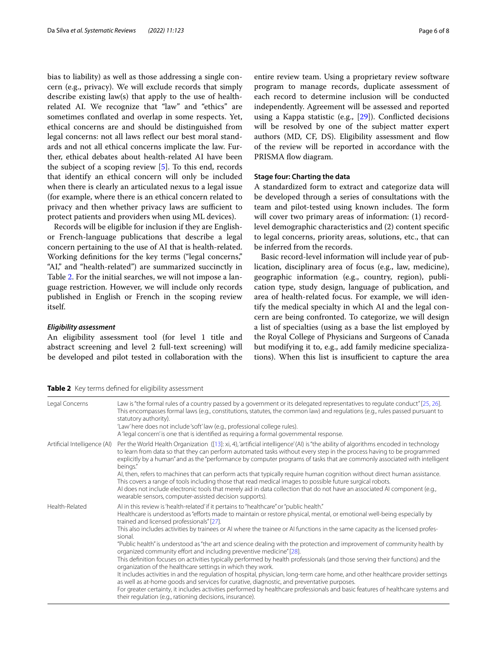bias to liability) as well as those addressing a single concern (e.g., privacy). We will exclude records that simply describe existing law(s) that apply to the use of healthrelated AI. We recognize that "law" and "ethics" are sometimes confated and overlap in some respects. Yet, ethical concerns are and should be distinguished from legal concerns: not all laws refect our best moral standards and not all ethical concerns implicate the law. Further, ethical debates about health-related AI have been the subject of a scoping review [\[5](#page-7-4)]. To this end, records that identify an ethical concern will only be included when there is clearly an articulated nexus to a legal issue (for example, where there is an ethical concern related to privacy and then whether privacy laws are sufficient to protect patients and providers when using ML devices).

Records will be eligible for inclusion if they are Englishor French-language publications that describe a legal concern pertaining to the use of AI that is health-related. Working defnitions for the key terms ("legal concerns," "AI," and "health-related") are summarized succinctly in Table [2](#page-5-0). For the initial searches, we will not impose a language restriction. However, we will include only records published in English or French in the scoping review itself.

#### *Eligibility assessment*

An eligibility assessment tool (for level 1 title and abstract screening and level 2 full-text screening) will be developed and pilot tested in collaboration with the

<span id="page-5-0"></span>

|  | Table 2 Key terms defined for eligibility assessment |
|--|------------------------------------------------------|
|--|------------------------------------------------------|

entire review team. Using a proprietary review software program to manage records, duplicate assessment of each record to determine inclusion will be conducted independently. Agreement will be assessed and reported using a Kappa statistic (e.g., [\[29](#page-7-21)]). Conficted decisions will be resolved by one of the subject matter expert authors (MD, CF, DS). Eligibility assessment and flow of the review will be reported in accordance with the PRISMA flow diagram.

#### **Stage four: Charting the data**

A standardized form to extract and categorize data will be developed through a series of consultations with the team and pilot-tested using known includes. The form will cover two primary areas of information: (1) recordlevel demographic characteristics and (2) content specifc to legal concerns, priority areas, solutions, etc., that can be inferred from the records.

Basic record-level information will include year of publication, disciplinary area of focus (e.g., law, medicine), geographic information (e.g., country, region), publication type, study design, language of publication, and area of health-related focus. For example, we will identify the medical specialty in which AI and the legal concern are being confronted. To categorize, we will design a list of specialties (using as a base the list employed by the Royal College of Physicians and Surgeons of Canada but modifying it to, e.g., add family medicine specializations). When this list is insufficient to capture the area

| Legal Concerns               | Law is "the formal rules of a country passed by a government or its delegated representatives to regulate conduct" [25, 26].<br>This encompasses formal laws (e.g., constitutions, statutes, the common law) and regulations (e.g., rules passed pursuant to<br>statutory authority).<br>'Law' here does not include 'soft' law (e.g., professional college rules).<br>A 'legal concern' is one that is identified as requiring a formal governmental response.                                                                                                                                                                                                                                                                                                                                                                                                                                                                                                                                                                                                                                                                                                                                                                                     |
|------------------------------|-----------------------------------------------------------------------------------------------------------------------------------------------------------------------------------------------------------------------------------------------------------------------------------------------------------------------------------------------------------------------------------------------------------------------------------------------------------------------------------------------------------------------------------------------------------------------------------------------------------------------------------------------------------------------------------------------------------------------------------------------------------------------------------------------------------------------------------------------------------------------------------------------------------------------------------------------------------------------------------------------------------------------------------------------------------------------------------------------------------------------------------------------------------------------------------------------------------------------------------------------------|
| Artificial Intelligence (AI) | Per the World Health Organization ([13]: xi, 4), 'artificial intelligence' (AI) is "the ability of algorithms encoded in technology<br>to learn from data so that they can perform automated tasks without every step in the process having to be programmed<br>explicitly by a human" and as the "performance by computer programs of tasks that are commonly associated with intelligent<br>beings."<br>Al, then, refers to machines that can perform acts that typically require human cognition without direct human assistance.<br>This covers a range of tools including those that read medical images to possible future surgical robots.<br>AI does not include electronic tools that merely aid in data collection that do not have an associated AI component (e.g.,<br>wearable sensors, computer-assisted decision supports).                                                                                                                                                                                                                                                                                                                                                                                                          |
| Health-Related               | Al in this review is 'health-related' if it pertains to "healthcare" or "public health."<br>Healthcare is understood as "efforts made to maintain or restore physical, mental, or emotional well-being especially by<br>trained and licensed professionals" [27].<br>This also includes activities by trainees or AI where the trainee or AI functions in the same capacity as the licensed profes-<br>sional.<br>"Public health" is understood as "the art and science dealing with the protection and improvement of community health by<br>organized community effort and including preventive medicine" [28].<br>This definition focuses on activities typically performed by health professionals (and those serving their functions) and the<br>organization of the healthcare settings in which they work.<br>It includes activities in and the regulation of hospital, physician, long-term care home, and other healthcare provider settings<br>as well as at-home goods and services for curative, diagnostic, and preventative purposes.<br>For greater certainty, it includes activities performed by healthcare professionals and basic features of healthcare systems and<br>their regulation (e.g., rationing decisions, insurance). |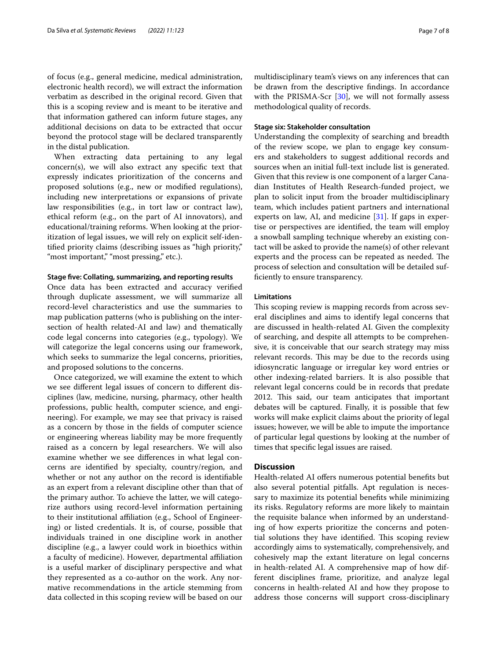of focus (e.g., general medicine, medical administration, electronic health record), we will extract the information verbatim as described in the original record. Given that this is a scoping review and is meant to be iterative and that information gathered can inform future stages, any additional decisions on data to be extracted that occur beyond the protocol stage will be declared transparently in the distal publication.

When extracting data pertaining to any legal concern(s), we will also extract any specifc text that expressly indicates prioritization of the concerns and proposed solutions (e.g., new or modifed regulations), including new interpretations or expansions of private law responsibilities (e.g., in tort law or contract law), ethical reform (e.g., on the part of AI innovators), and educational/training reforms. When looking at the prioritization of legal issues, we will rely on explicit self-identifed priority claims (describing issues as "high priority," "most important," "most pressing," etc.).

#### **Stage fve: Collating, summarizing, and reporting results**

Once data has been extracted and accuracy verifed through duplicate assessment, we will summarize all record-level characteristics and use the summaries to map publication patterns (who is publishing on the intersection of health related-AI and law) and thematically code legal concerns into categories (e.g., typology). We will categorize the legal concerns using our framework, which seeks to summarize the legal concerns, priorities, and proposed solutions to the concerns.

Once categorized, we will examine the extent to which we see diferent legal issues of concern to diferent disciplines (law, medicine, nursing, pharmacy, other health professions, public health, computer science, and engineering). For example, we may see that privacy is raised as a concern by those in the felds of computer science or engineering whereas liability may be more frequently raised as a concern by legal researchers. We will also examine whether we see diferences in what legal concerns are identifed by specialty, country/region, and whether or not any author on the record is identifable as an expert from a relevant discipline other than that of the primary author. To achieve the latter, we will categorize authors using record-level information pertaining to their institutional afliation (e.g., School of Engineering) or listed credentials. It is, of course, possible that individuals trained in one discipline work in another discipline (e.g., a lawyer could work in bioethics within a faculty of medicine). However, departmental afliation is a useful marker of disciplinary perspective and what they represented as a co-author on the work. Any normative recommendations in the article stemming from data collected in this scoping review will be based on our

#### **Stage six: Stakeholder consultation**

Understanding the complexity of searching and breadth of the review scope, we plan to engage key consumers and stakeholders to suggest additional records and sources when an initial full-text include list is generated. Given that this review is one component of a larger Canadian Institutes of Health Research-funded project, we plan to solicit input from the broader multidisciplinary team, which includes patient partners and international experts on law, AI, and medicine  $[31]$  $[31]$  $[31]$ . If gaps in expertise or perspectives are identifed, the team will employ a snowball sampling technique whereby an existing contact will be asked to provide the name(s) of other relevant experts and the process can be repeated as needed. The process of selection and consultation will be detailed suffciently to ensure transparency.

#### **Limitations**

This scoping review is mapping records from across several disciplines and aims to identify legal concerns that are discussed in health-related AI. Given the complexity of searching, and despite all attempts to be comprehensive, it is conceivable that our search strategy may miss relevant records. This may be due to the records using idiosyncratic language or irregular key word entries or other indexing-related barriers. It is also possible that relevant legal concerns could be in records that predate 2012. This said, our team anticipates that important debates will be captured. Finally, it is possible that few works will make explicit claims about the priority of legal issues; however, we will be able to impute the importance of particular legal questions by looking at the number of times that specifc legal issues are raised.

#### **Discussion**

Health-related AI offers numerous potential benefits but also several potential pitfalls. Apt regulation is necessary to maximize its potential benefts while minimizing its risks. Regulatory reforms are more likely to maintain the requisite balance when informed by an understanding of how experts prioritize the concerns and potential solutions they have identified. This scoping review accordingly aims to systematically, comprehensively, and cohesively map the extant literature on legal concerns in health-related AI. A comprehensive map of how different disciplines frame, prioritize, and analyze legal concerns in health-related AI and how they propose to address those concerns will support cross-disciplinary